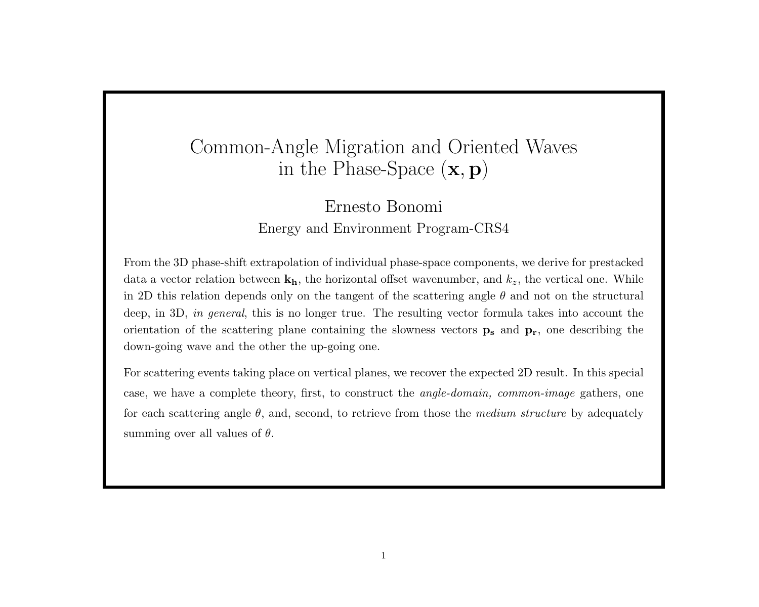# Common-Angle Migration and Oriented Waves in the Phase-Space  $(\mathbf{x}, \mathbf{p})$

## Ernesto Bonomi Energy and Environment Program-CRS4

From the 3D phase-shift extrapolation of individual phase-space components, we derive for prestacked data a vector relation between  $\mathbf{k}_h$ , the horizontal offset wavenumber, and  $k_z$ , the vertical one. While in 2D this relation depends only on the tangent of the scattering angle  $\theta$  and not on the structural deep, in 3D, in general, this is no longer true. The resulting vector formula takes into account the orientation of the scattering plane containing the slowness vectors  $\mathbf{p}_s$  and  $\mathbf{p}_r$ , one describing the down-going wave and the other the up-going one.

For scattering events taking place on vertical planes, we recover the expected 2D result. In this special case, we have a complete theory, first, to construct the angle-domain, common-image gathers, one for each scattering angle  $\theta$ , and, second, to retrieve from those the *medium structure* by adequately summing over all values of  $\theta$ .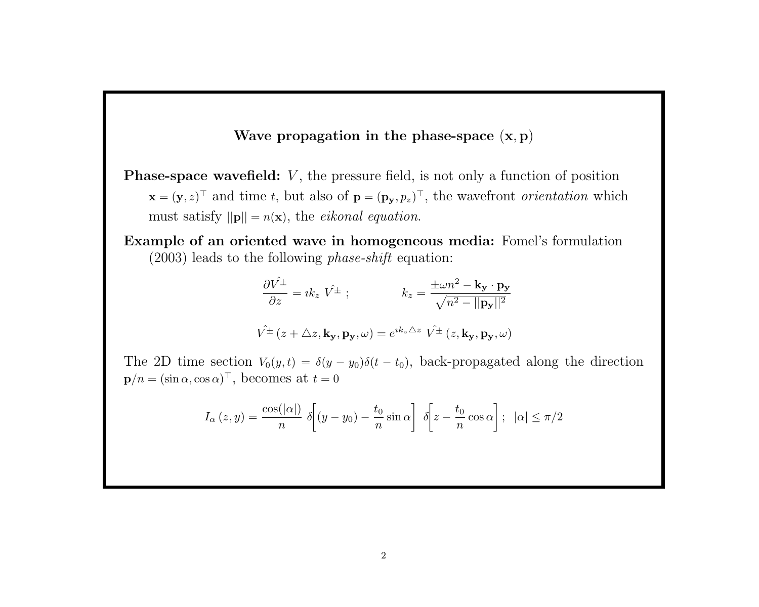#### Wave propagation in the phase-space  $(x, p)$

**Phase-space wavefield:**  $V$ , the pressure field, is not only a function of position  $\mathbf{x} = (\mathbf{y}, z)^{\top}$  and time t, but also of  $\mathbf{p} = (\mathbf{p}_\mathbf{y}, p_z)^{\top}$ , the wavefront *orientation* which must satisfy  $||\mathbf{p}|| = n(\mathbf{x})$ , the *eikonal equation*.

Example of an oriented wave in homogeneous media: Fomel's formulation (2003) leads to the following phase-shift equation:

$$
\frac{\partial \hat{V^{\pm}}}{\partial z} = i k_z \hat{V^{\pm}}; \qquad k_z = \frac{\pm \omega n^2 - k_y \cdot p_y}{\sqrt{n^2 - ||p_y||^2}}
$$

$$
\hat{V^{\pm}}(z + \Delta z, k_y, p_y, \omega) = e^{ik_z \Delta z} \hat{V^{\pm}}(z, k_y, p_y, \omega)
$$

The 2D time section  $V_0(y, t) = \delta(y - y_0)\delta(t - t_0)$ , back-propagated along the direction  $\mathbf{p}/n = (\sin \alpha, \cos \alpha)^\top$ , becomes at  $t = 0$ 

$$
I_{\alpha}(z,y) = \frac{\cos(|\alpha|)}{n} \delta\bigg[(y-y_0) - \frac{t_0}{n}\sin\alpha\bigg] \delta\bigg[z - \frac{t_0}{n}\cos\alpha\bigg]; \quad |\alpha| \le \pi/2
$$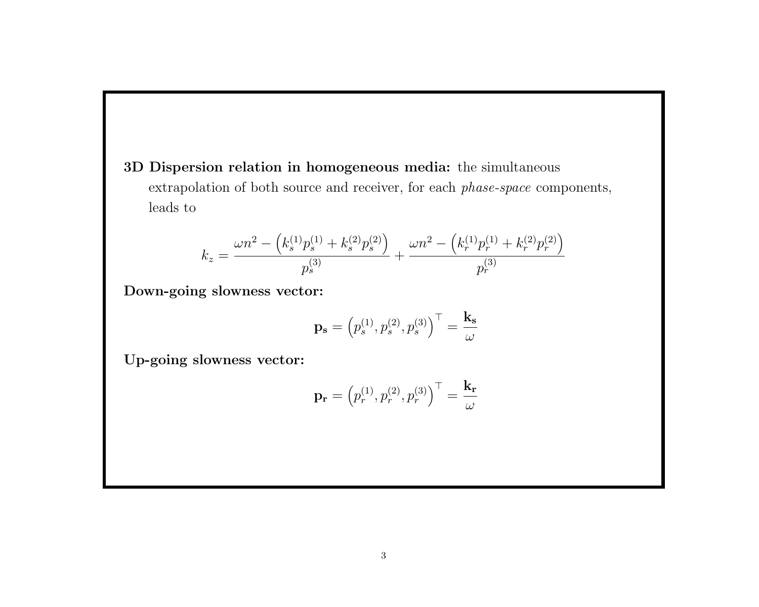3D Dispersion relation in homogeneous media: the simultaneous extrapolation of both source and receiver, for each phase-space components, leads to

$$
k_z = \frac{\omega n^2 - (k_s^{(1)} p_s^{(1)} + k_s^{(2)} p_s^{(2)})}{p_s^{(3)}} + \frac{\omega n^2 - (k_r^{(1)} p_r^{(1)} + k_r^{(2)} p_r^{(2)})}{p_r^{(3)}}
$$

Down-going slowness vector:

$$
\mathbf{p_s}=\left(p_s^{(1)},p_s^{(2)},p_s^{(3)}\right)^{\top}=\frac{\mathbf{k_s}}{\omega}
$$

Up-going slowness vector:

$$
\mathbf{p_r} = \left(p_r^{(1)}, p_r^{(2)}, p_r^{(3)}\right)^{\top} = \frac{\mathbf{k_r}}{\omega}
$$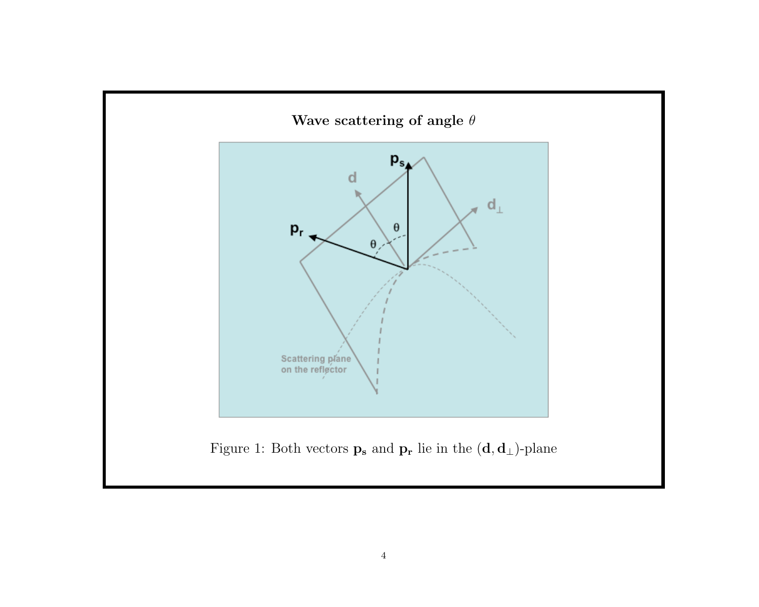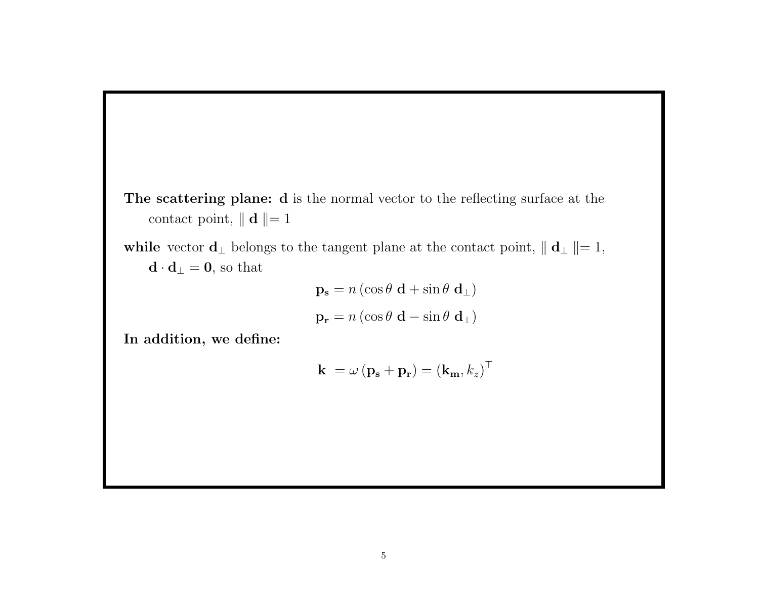The scattering plane: d is the normal vector to the reflecting surface at the contact point,  $\parallel \mathbf{d} \parallel= 1$ 

while vector  $\mathbf{d}_{\perp}$  belongs to the tangent plane at the contact point,  $\|\mathbf{d}_{\perp}\| = 1$ ,  $\mathbf{d} \cdot \mathbf{d}_{\perp} = \mathbf{0}$  , so that

$$
\mathbf{p_s} = n \left( \cos \theta \, \mathbf{d} + \sin \theta \, \mathbf{d}_{\perp} \right)
$$

$$
\mathbf{p_r} = n \left( \cos \theta \, \mathbf{d} - \sin \theta \, \mathbf{d}_{\perp} \right)
$$

In addition, we define:

$$
\mathbf{k} = \omega \left( \mathbf{p_s} + \mathbf{p_r} \right) = \left( \mathbf{k_m}, k_z \right)^{\top}
$$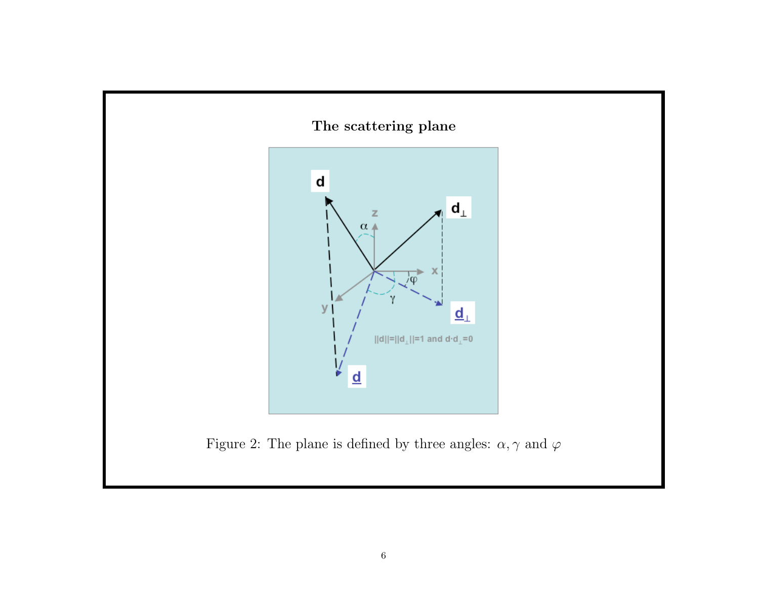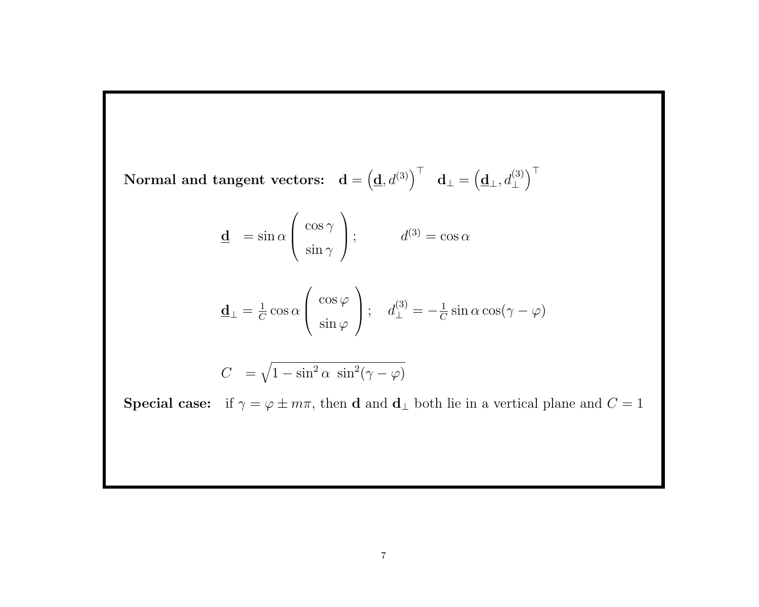$\textbf{Normal and tangent vectors:} \quad \mathbf{d} = \left(\underline{\mathbf{d}}, d^{(3)}\right)^\top \quad \mathbf{d}_\perp = \left(\underline{\mathbf{d}}_\perp, d^{(3)}_\perp\right)^\top$  $\bigwedge^{\top}$ 

$$
\underline{\mathbf{d}} = \sin \alpha \begin{pmatrix} \cos \gamma \\ \sin \gamma \end{pmatrix}; \qquad d^{(3)} = \cos \alpha
$$

$$
\underline{\mathbf{d}}_{\perp} = \frac{1}{C} \cos \alpha \begin{pmatrix} \cos \varphi \\ \sin \varphi \end{pmatrix}; \quad d_{\perp}^{(3)} = -\frac{1}{C} \sin \alpha \cos(\gamma - \varphi)
$$

$$
C = \sqrt{1 - \sin^2 \alpha \sin^2(\gamma - \varphi)}
$$

**Special case:** if  $\gamma = \varphi \pm m\pi$ , then **d** and **d**<sub>⊥</sub> both lie in a vertical plane and  $C = 1$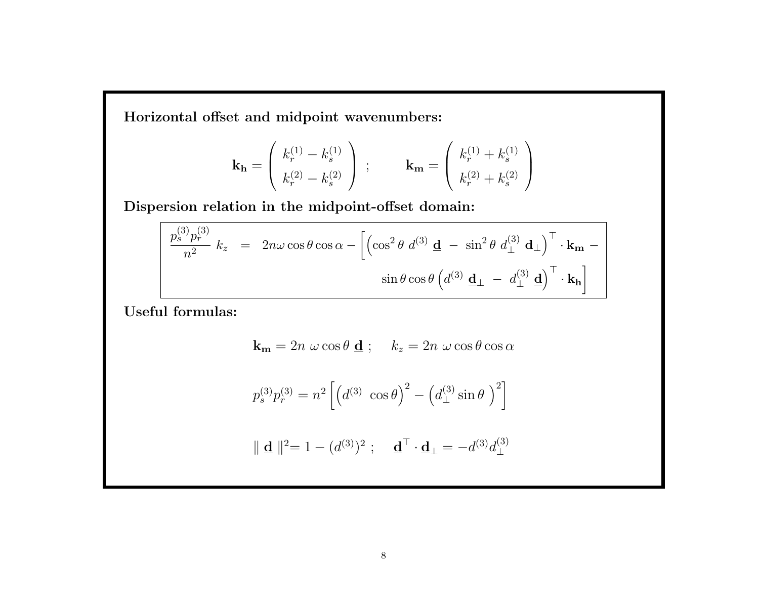Horizontal offset and midpoint wavenumbers:

$$
\mathbf{k}_{\mathbf{h}} = \begin{pmatrix} k_r^{(1)} - k_s^{(1)} \\ k_r^{(2)} - k_s^{(2)} \end{pmatrix} ; \qquad \mathbf{k}_{\mathbf{m}} = \begin{pmatrix} k_r^{(1)} + k_s^{(1)} \\ k_r^{(2)} + k_s^{(2)} \end{pmatrix}
$$

Dispersion relation in the midpoint-offset domain:

$$
\frac{p_s^{(3)}p_r^{(3)}}{n^2} k_z = 2n\omega\cos\theta\cos\alpha - \left[\left(\cos^2\theta \ d^{(3)}\mathbf{d} - \sin^2\theta \ d^{(3)}_{\perp}\mathbf{d}_{\perp}\right)^{\top}\cdot\mathbf{k_m} - \sin\theta\cos\theta \left(d^{(3)}\mathbf{d}_{\perp} - d^{(3)}_{\perp}\mathbf{d}\right)^{\top}\cdot\mathbf{k_h}\right]
$$

Useful formulas:

$$
\mathbf{k}_{\mathbf{m}} = 2n \, \omega \cos \theta \, \mathbf{\underline{d}} \, ; \quad k_z = 2n \, \omega \cos \theta \cos \alpha
$$

$$
p_s^{(3)}p_r^{(3)} = n^2 \left[ \left( d^{(3)} \cos \theta \right)^2 - \left( d^{(3)}_{\perp} \sin \theta \right)^2 \right]
$$

$$
\|\mathbf{d}\|^{2} = 1 - (d^{(3)})^{2}; \quad \mathbf{d}^{\top} \cdot \mathbf{d}_{\perp} = -d^{(3)}d^{(3)}_{\perp}
$$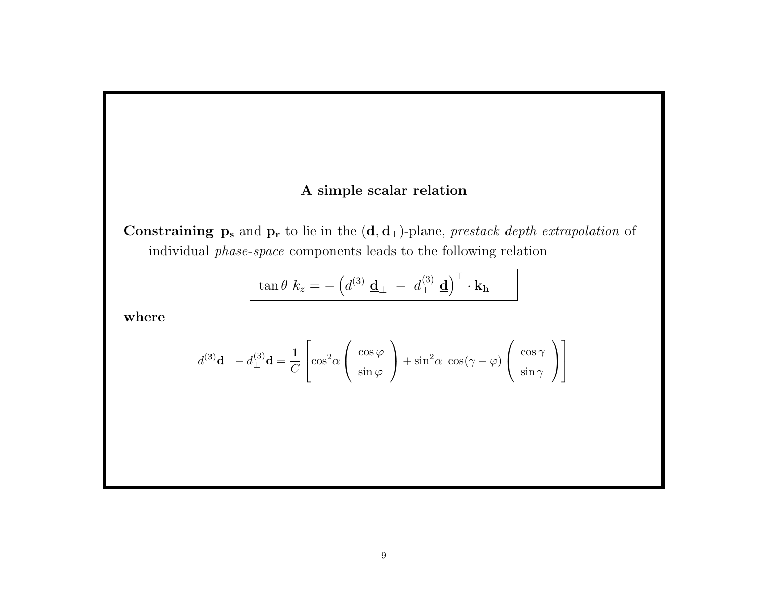### A simple scalar relation

Constraining  $\mathbf{p}_s$  and  $\mathbf{p}_r$  to lie in the  $(\mathbf{d}, \mathbf{d}_\perp)$ -plane, prestack depth extrapolation of individual phase-space components leads to the following relation

$$
\tan \theta \, k_z = - \left( d^{(3)} \, \underline{\mathbf{d}}_{\perp} \ - \ d^{(3)}_{\perp} \, \underline{\mathbf{d}} \right)^{\top} \cdot \mathbf{k_h}
$$

where

$$
d^{(3)}\underline{\mathbf{d}}_{\perp} - d^{(3)}_{\perp} \underline{\mathbf{d}} = \frac{1}{C} \left[ \cos^2 \alpha \begin{pmatrix} \cos \varphi \\ \sin \varphi \end{pmatrix} + \sin^2 \alpha \cos(\gamma - \varphi) \begin{pmatrix} \cos \gamma \\ \sin \gamma \end{pmatrix} \right]
$$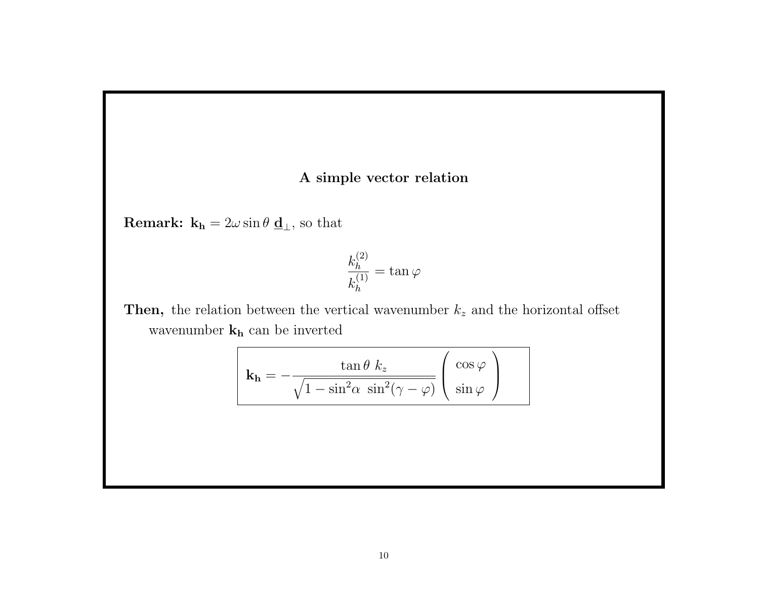#### A simple vector relation

**Remark:**  $\mathbf{k_h} = 2\omega \sin \theta \mathbf{d}_{\perp}$ , so that

$$
\frac{k_h^{(2)}}{k_h^{(1)}} = \tan \varphi
$$

Then, the relation between the vertical wavenumber  $k_z$  and the horizontal offset wavenumber ${\bf k_h}$  can be inverted

$$
\mathbf{k}_{\mathbf{h}} = -\frac{\tan \theta \ k_{z}}{\sqrt{1 - \sin^{2} \alpha \ \sin^{2} (\gamma - \varphi)}} \left( \frac{\cos \varphi}{\sin \varphi} \right)
$$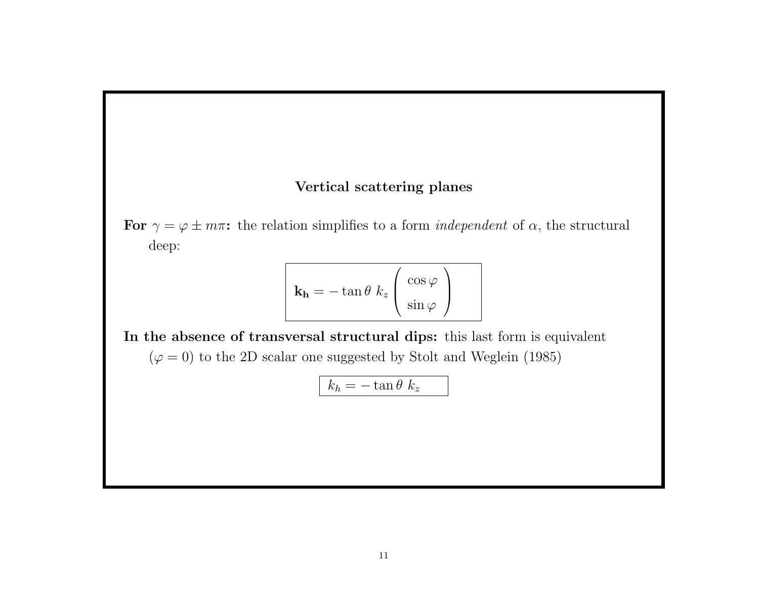#### Vertical scattering planes

For  $\gamma = \varphi \pm m\pi$ : the relation simplifies to a form *independent* of  $\alpha$ , the structural deep:

$$
\mathbf{k}_{\mathbf{h}} = -\tan\theta \; k_{z} \left( \frac{\cos\varphi}{\sin\varphi} \right)
$$

In the absence of transversal structural dips: this last form is equivalent  $(\varphi=0)$  to the 2D scalar one suggested by Stolt and Weglein (1985)

$$
k_h = -\tan\theta \ k_z
$$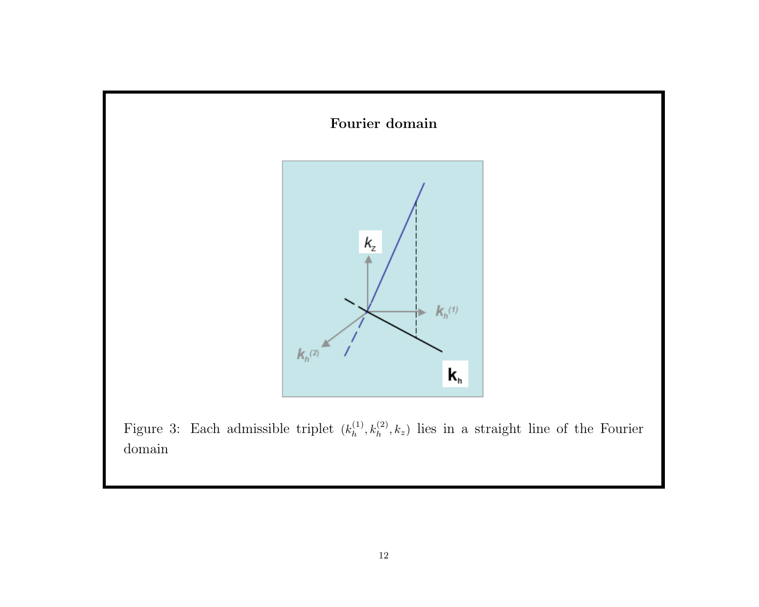

Figure 3: Each admissible triplet  $(k<sub>h</sub><sup>(1)</sup>)$  $h_h^{(1)}, k_h^{(2)}, k_z$ ) lies in a straight line of the Fourier domain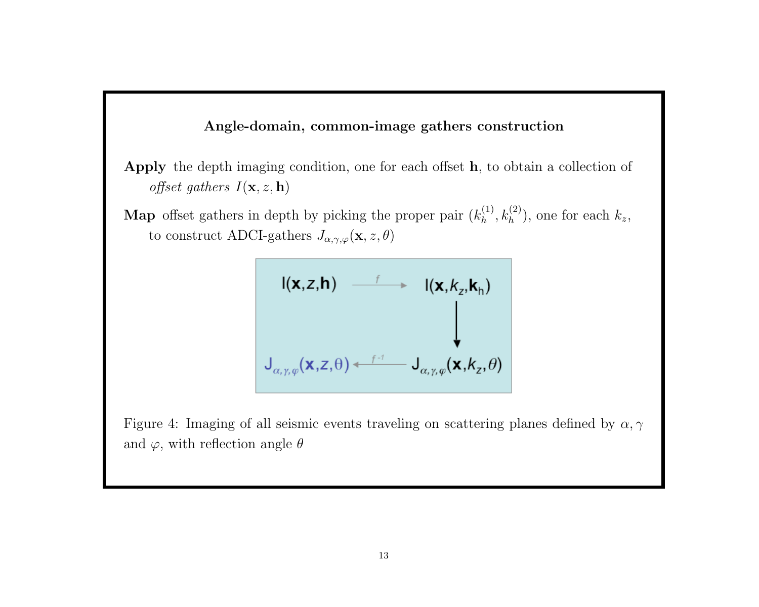#### Angle-domain, common-image gathers construction

Apply the depth imaging condition, one for each offset h, to obtain a collection of offset gathers  $I(\mathbf{x}, z, \mathbf{h})$ 

**Map** offset gathers in depth by picking the proper pair  $(k<sub>h</sub><sup>(1)</sup>)$  $h^{(1)}_h, k^{(2)}_h$ , one for each  $k_z$ , to construct ADCI-gathers  $J_{\alpha,\gamma,\varphi}(\mathbf{x}, z, \theta)$ 

$$
I(\mathbf{x}, z, \mathbf{h}) \longrightarrow I(\mathbf{x}, k_z, \mathbf{k}_h)
$$
  

$$
J_{\alpha, \gamma, \varphi}(\mathbf{x}, z, \theta) \longleftarrow f^{-1} J_{\alpha, \gamma, \varphi}(\mathbf{x}, k_z, \theta)
$$

Figure 4: Imaging of all seismic events traveling on scattering planes defined by  $\alpha, \gamma$ and  $\varphi,$  with reflection angle  $\theta$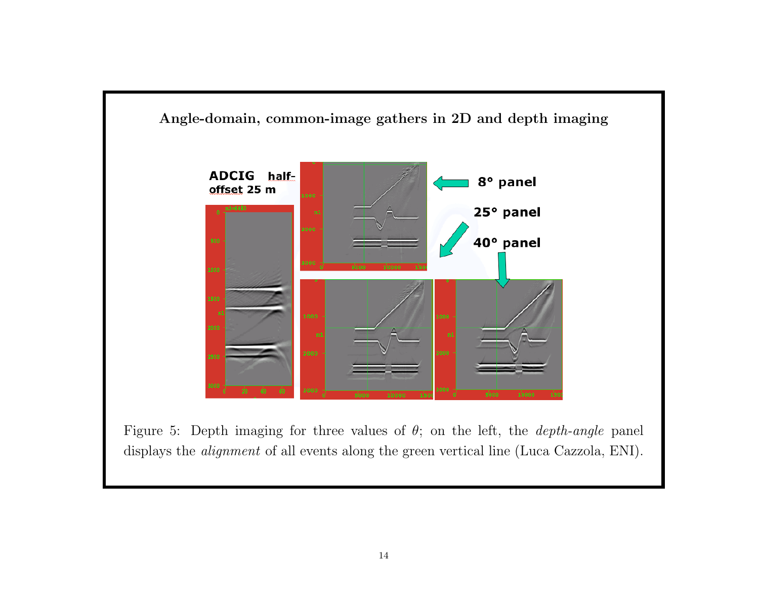

Figure 5: Depth imaging for three values of  $\theta$ ; on the left, the *depth-angle* panel displays the *alignment* of all events along the green vertical line (Luca Cazzola, ENI).